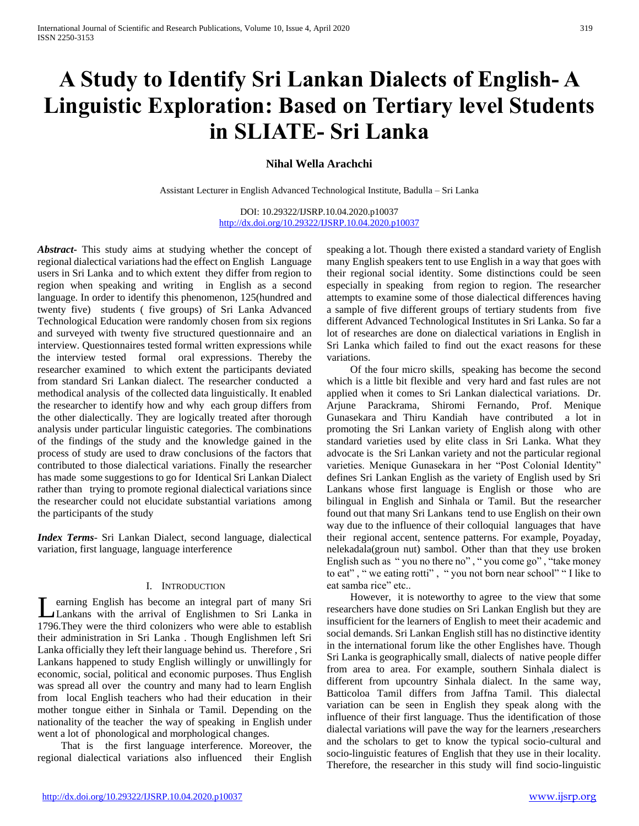# **A Study to Identify Sri Lankan Dialects of English- A Linguistic Exploration: Based on Tertiary level Students in SLIATE- Sri Lanka**

# **Nihal Wella Arachchi**

Assistant Lecturer in English Advanced Technological Institute, Badulla – Sri Lanka

DOI: 10.29322/IJSRP.10.04.2020.p10037 <http://dx.doi.org/10.29322/IJSRP.10.04.2020.p10037>

*Abstract***-** This study aims at studying whether the concept of regional dialectical variations had the effect on English Language users in Sri Lanka and to which extent they differ from region to region when speaking and writing in English as a second language. In order to identify this phenomenon, 125(hundred and twenty five) students ( five groups) of Sri Lanka Advanced Technological Education were randomly chosen from six regions and surveyed with twenty five structured questionnaire and an interview. Questionnaires tested formal written expressions while the interview tested formal oral expressions. Thereby the researcher examined to which extent the participants deviated from standard Sri Lankan dialect. The researcher conducted a methodical analysis of the collected data linguistically. It enabled the researcher to identify how and why each group differs from the other dialectically. They are logically treated after thorough analysis under particular linguistic categories. The combinations of the findings of the study and the knowledge gained in the process of study are used to draw conclusions of the factors that contributed to those dialectical variations. Finally the researcher has made some suggestions to go for Identical Sri Lankan Dialect rather than trying to promote regional dialectical variations since the researcher could not elucidate substantial variations among the participants of the study

*Index Terms*- Sri Lankan Dialect, second language, dialectical variation, first language, language interference

#### I. INTRODUCTION

earning English has become an integral part of many Sri Lankans with the arrival of Englishmen to Sri Lanka in 1796.They were the third colonizers who were able to establish their administration in Sri Lanka . Though Englishmen left Sri Lanka officially they left their language behind us. Therefore , Sri Lankans happened to study English willingly or unwillingly for economic, social, political and economic purposes. Thus English was spread all over the country and many had to learn English from local English teachers who had their education in their mother tongue either in Sinhala or Tamil. Depending on the nationality of the teacher the way of speaking in English under went a lot of phonological and morphological changes.

 That is the first language interference. Moreover, the regional dialectical variations also influenced their English speaking a lot. Though there existed a standard variety of English many English speakers tent to use English in a way that goes with their regional social identity. Some distinctions could be seen especially in speaking from region to region. The researcher attempts to examine some of those dialectical differences having a sample of five different groups of tertiary students from five different Advanced Technological Institutes in Sri Lanka. So far a lot of researches are done on dialectical variations in English in Sri Lanka which failed to find out the exact reasons for these variations.

 Of the four micro skills, speaking has become the second which is a little bit flexible and very hard and fast rules are not applied when it comes to Sri Lankan dialectical variations. Dr. Arjune Parackrama, Shiromi Fernando, Prof. Menique Gunasekara and Thiru Kandiah have contributed a lot in promoting the Sri Lankan variety of English along with other standard varieties used by elite class in Sri Lanka. What they advocate is the Sri Lankan variety and not the particular regional varieties. Menique Gunasekara in her "Post Colonial Identity" defines Sri Lankan English as the variety of English used by Sri Lankans whose first language is English or those who are bilingual in English and Sinhala or Tamil. But the researcher found out that many Sri Lankans tend to use English on their own way due to the influence of their colloquial languages that have their regional accent, sentence patterns. For example, Poyaday, nelekadala(groun nut) sambol. Other than that they use broken English such as " you no there no" , " you come go" , "take money to eat" , " we eating rotti" , " you not born near school" " I like to eat samba rice" etc..

 However, it is noteworthy to agree to the view that some researchers have done studies on Sri Lankan English but they are insufficient for the learners of English to meet their academic and social demands. Sri Lankan English still has no distinctive identity in the international forum like the other Englishes have. Though Sri Lanka is geographically small, dialects of native people differ from area to area. For example, southern Sinhala dialect is different from upcountry Sinhala dialect. In the same way, Batticoloa Tamil differs from Jaffna Tamil. This dialectal variation can be seen in English they speak along with the influence of their first language. Thus the identification of those dialectal variations will pave the way for the learners ,researchers and the scholars to get to know the typical socio-cultural and socio-linguistic features of English that they use in their locality. Therefore, the researcher in this study will find socio-linguistic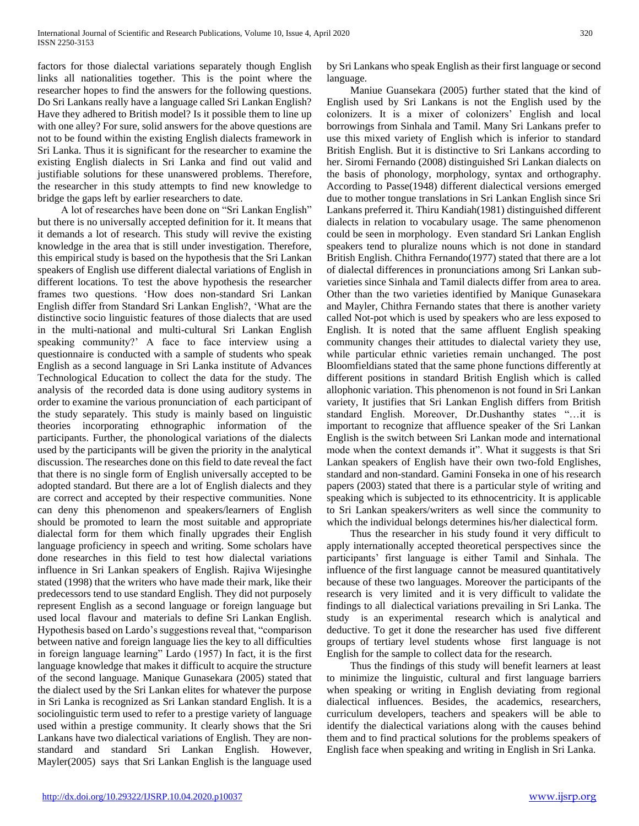factors for those dialectal variations separately though English links all nationalities together. This is the point where the researcher hopes to find the answers for the following questions. Do Sri Lankans really have a language called Sri Lankan English? Have they adhered to British model? Is it possible them to line up with one alley? For sure, solid answers for the above questions are not to be found within the existing English dialects framework in Sri Lanka. Thus it is significant for the researcher to examine the existing English dialects in Sri Lanka and find out valid and justifiable solutions for these unanswered problems. Therefore, the researcher in this study attempts to find new knowledge to bridge the gaps left by earlier researchers to date.

 A lot of researches have been done on "Sri Lankan English" but there is no universally accepted definition for it. It means that it demands a lot of research. This study will revive the existing knowledge in the area that is still under investigation. Therefore, this empirical study is based on the hypothesis that the Sri Lankan speakers of English use different dialectal variations of English in different locations. To test the above hypothesis the researcher frames two questions. 'How does non-standard Sri Lankan English differ from Standard Sri Lankan English?, 'What are the distinctive socio linguistic features of those dialects that are used in the multi-national and multi-cultural Sri Lankan English speaking community?' A face to face interview using a questionnaire is conducted with a sample of students who speak English as a second language in Sri Lanka institute of Advances Technological Education to collect the data for the study. The analysis of the recorded data is done using auditory systems in order to examine the various pronunciation of each participant of the study separately. This study is mainly based on linguistic theories incorporating ethnographic information of the participants. Further, the phonological variations of the dialects used by the participants will be given the priority in the analytical discussion. The researches done on this field to date reveal the fact that there is no single form of English universally accepted to be adopted standard. But there are a lot of English dialects and they are correct and accepted by their respective communities. None can deny this phenomenon and speakers/learners of English should be promoted to learn the most suitable and appropriate dialectal form for them which finally upgrades their English language proficiency in speech and writing. Some scholars have done researches in this field to test how dialectal variations influence in Sri Lankan speakers of English. Rajiva Wijesinghe stated (1998) that the writers who have made their mark, like their predecessors tend to use standard English. They did not purposely represent English as a second language or foreign language but used local flavour and materials to define Sri Lankan English. Hypothesis based on Lardo's suggestions reveal that, "comparison between native and foreign language lies the key to all difficulties in foreign language learning" Lardo (1957) In fact, it is the first language knowledge that makes it difficult to acquire the structure of the second language. Manique Gunasekara (2005) stated that the dialect used by the Sri Lankan elites for whatever the purpose in Sri Lanka is recognized as Sri Lankan standard English. It is a sociolinguistic term used to refer to a prestige variety of language used within a prestige community. It clearly shows that the Sri Lankans have two dialectical variations of English. They are nonstandard and standard Sri Lankan English. However, Mayler(2005) says that Sri Lankan English is the language used

by Sri Lankans who speak English as their first language or second language.

 Maniue Guansekara (2005) further stated that the kind of English used by Sri Lankans is not the English used by the colonizers. It is a mixer of colonizers' English and local borrowings from Sinhala and Tamil. Many Sri Lankans prefer to use this mixed variety of English which is inferior to standard British English. But it is distinctive to Sri Lankans according to her. Siromi Fernando (2008) distinguished Sri Lankan dialects on the basis of phonology, morphology, syntax and orthography. According to Passe(1948) different dialectical versions emerged due to mother tongue translations in Sri Lankan English since Sri Lankans preferred it. Thiru Kandiah(1981) distinguished different dialects in relation to vocabulary usage. The same phenomenon could be seen in morphology. Even standard Sri Lankan English speakers tend to pluralize nouns which is not done in standard British English. Chithra Fernando(1977) stated that there are a lot of dialectal differences in pronunciations among Sri Lankan subvarieties since Sinhala and Tamil dialects differ from area to area. Other than the two varieties identified by Manique Gunasekara and Mayler, Chithra Fernando states that there is another variety called Not-pot which is used by speakers who are less exposed to English. It is noted that the same affluent English speaking community changes their attitudes to dialectal variety they use, while particular ethnic varieties remain unchanged. The post Bloomfieldians stated that the same phone functions differently at different positions in standard British English which is called allophonic variation. This phenomenon is not found in Sri Lankan variety, It justifies that Sri Lankan English differs from British standard English. Moreover, Dr.Dushanthy states "…it is important to recognize that affluence speaker of the Sri Lankan English is the switch between Sri Lankan mode and international mode when the context demands it". What it suggests is that Sri Lankan speakers of English have their own two-fold Englishes, standard and non-standard. Gamini Fonseka in one of his research papers (2003) stated that there is a particular style of writing and speaking which is subjected to its ethnocentricity. It is applicable to Sri Lankan speakers/writers as well since the community to which the individual belongs determines his/her dialectical form.

 Thus the researcher in his study found it very difficult to apply internationally accepted theoretical perspectives since the participants' first language is either Tamil and Sinhala. The influence of the first language cannot be measured quantitatively because of these two languages. Moreover the participants of the research is very limited and it is very difficult to validate the findings to all dialectical variations prevailing in Sri Lanka. The study is an experimental research which is analytical and deductive. To get it done the researcher has used five different groups of tertiary level students whose first language is not English for the sample to collect data for the research.

 Thus the findings of this study will benefit learners at least to minimize the linguistic, cultural and first language barriers when speaking or writing in English deviating from regional dialectical influences. Besides, the academics, researchers, curriculum developers, teachers and speakers will be able to identify the dialectical variations along with the causes behind them and to find practical solutions for the problems speakers of English face when speaking and writing in English in Sri Lanka.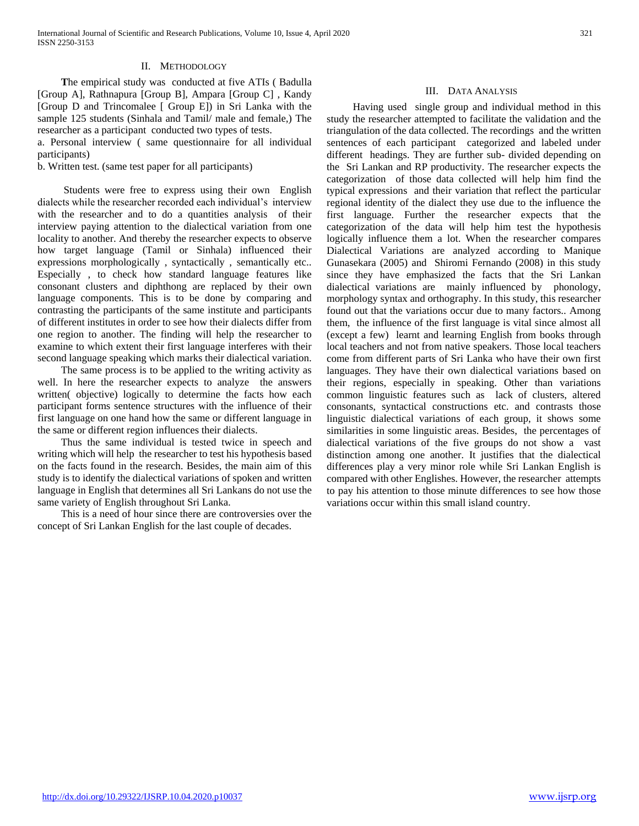### II. METHODOLOGY

 **T**he empirical study was conducted at five ATIs ( Badulla [Group A], Rathnapura [Group B], Ampara [Group C] , Kandy [Group D and Trincomalee [ Group E]) in Sri Lanka with the sample 125 students (Sinhala and Tamil/ male and female,) The researcher as a participant conducted two types of tests.

a. Personal interview ( same questionnaire for all individual participants)

b. Written test. (same test paper for all participants)

 Students were free to express using their own English dialects while the researcher recorded each individual's interview with the researcher and to do a quantities analysis of their interview paying attention to the dialectical variation from one locality to another. And thereby the researcher expects to observe how target language (Tamil or Sinhala) influenced their expressions morphologically , syntactically , semantically etc.. Especially , to check how standard language features like consonant clusters and diphthong are replaced by their own language components. This is to be done by comparing and contrasting the participants of the same institute and participants of different institutes in order to see how their dialects differ from one region to another. The finding will help the researcher to examine to which extent their first language interferes with their second language speaking which marks their dialectical variation.

 The same process is to be applied to the writing activity as well. In here the researcher expects to analyze the answers written( objective) logically to determine the facts how each participant forms sentence structures with the influence of their first language on one hand how the same or different language in the same or different region influences their dialects.

 Thus the same individual is tested twice in speech and writing which will help the researcher to test his hypothesis based on the facts found in the research. Besides, the main aim of this study is to identify the dialectical variations of spoken and written language in English that determines all Sri Lankans do not use the same variety of English throughout Sri Lanka.

 This is a need of hour since there are controversies over the concept of Sri Lankan English for the last couple of decades.

#### III. DATA ANALYSIS

 Having used single group and individual method in this study the researcher attempted to facilitate the validation and the triangulation of the data collected. The recordings and the written sentences of each participant categorized and labeled under different headings. They are further sub- divided depending on the Sri Lankan and RP productivity. The researcher expects the categorization of those data collected will help him find the typical expressions and their variation that reflect the particular regional identity of the dialect they use due to the influence the first language. Further the researcher expects that the categorization of the data will help him test the hypothesis logically influence them a lot. When the researcher compares Dialectical Variations are analyzed according to Manique Gunasekara (2005) and Shiromi Fernando (2008) in this study since they have emphasized the facts that the Sri Lankan dialectical variations are mainly influenced by phonology, morphology syntax and orthography. In this study, this researcher found out that the variations occur due to many factors.. Among them, the influence of the first language is vital since almost all (except a few) learnt and learning English from books through local teachers and not from native speakers. Those local teachers come from different parts of Sri Lanka who have their own first languages. They have their own dialectical variations based on their regions, especially in speaking. Other than variations common linguistic features such as lack of clusters, altered consonants, syntactical constructions etc. and contrasts those linguistic dialectical variations of each group, it shows some similarities in some linguistic areas. Besides, the percentages of dialectical variations of the five groups do not show a vast distinction among one another. It justifies that the dialectical differences play a very minor role while Sri Lankan English is compared with other Englishes. However, the researcher attempts to pay his attention to those minute differences to see how those variations occur within this small island country.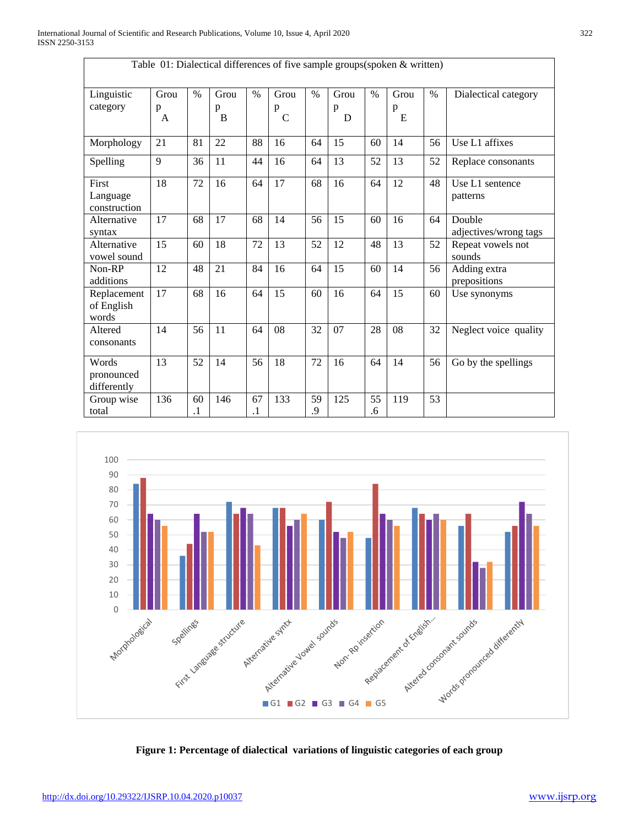Г

| Table 01: Dialectical differences of five sample groups(spoken & written) |                |                 |                |               |                             |               |                |          |                |      |                                 |
|---------------------------------------------------------------------------|----------------|-----------------|----------------|---------------|-----------------------------|---------------|----------------|----------|----------------|------|---------------------------------|
| Linguistic<br>category                                                    | Grou<br>p<br>A | $\%$            | Grou<br>p<br>B | $\%$          | Grou<br>p<br>$\overline{C}$ | $\frac{0}{0}$ | Grou<br>p<br>D | $\%$     | Grou<br>p<br>E | $\%$ | Dialectical category            |
| Morphology                                                                | 21             | 81              | 22             | 88            | 16                          | 64            | 15             | 60       | 14             | 56   | Use L1 affixes                  |
| Spelling                                                                  | 9              | 36              | 11             | 44            | 16                          | 64            | 13             | 52       | 13             | 52   | Replace consonants              |
| First<br>Language<br>construction                                         | 18             | 72              | 16             | 64            | 17                          | 68            | 16             | 64       | 12             | 48   | Use L1 sentence<br>patterns     |
| Alternative<br>syntax                                                     | 17             | 68              | 17             | 68            | 14                          | 56            | 15             | 60       | 16             | 64   | Double<br>adjectives/wrong tags |
| Alternative<br>vowel sound                                                | 15             | 60              | 18             | 72            | 13                          | 52            | 12             | 48       | 13             | 52   | Repeat vowels not<br>sounds     |
| Non-RP<br>additions                                                       | 12             | 48              | 21             | 84            | 16                          | 64            | 15             | 60       | 14             | 56   | Adding extra<br>prepositions    |
| Replacement<br>of English<br>words                                        | 17             | 68              | 16             | 64            | 15                          | 60            | 16             | 64       | 15             | 60   | Use synonyms                    |
| Altered<br>consonants                                                     | 14             | 56              | 11             | 64            | 08                          | 32            | 07             | 28       | 08             | 32   | Neglect voice quality           |
| Words<br>pronounced<br>differently                                        | 13             | 52              | 14             | 56            | 18                          | 72            | 16             | 64       | 14             | 56   | Go by the spellings             |
| Group wise<br>total                                                       | 136            | 60<br>$\cdot$ 1 | 146            | 67<br>$\cdot$ | 133                         | 59<br>9.      | 125            | 55<br>.6 | 119            | 53   |                                 |



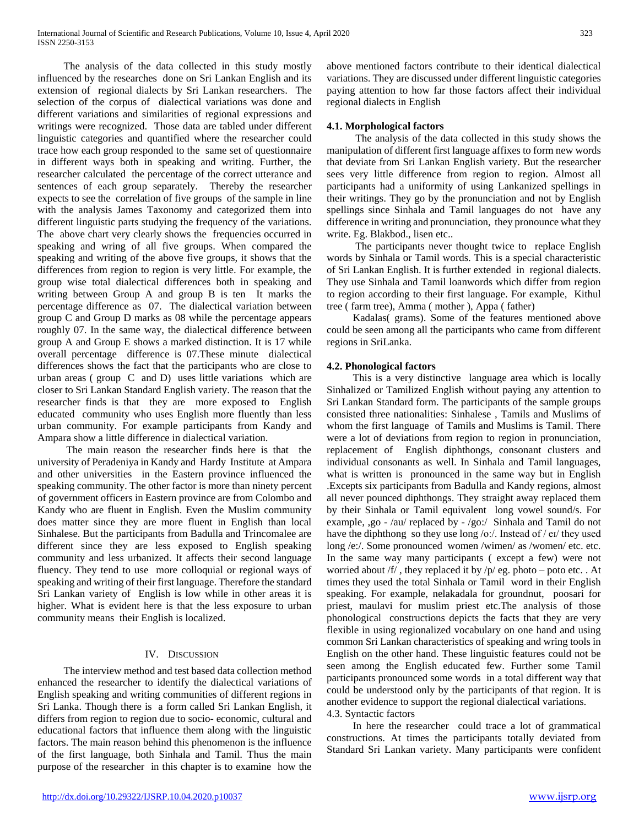The analysis of the data collected in this study mostly influenced by the researches done on Sri Lankan English and its extension of regional dialects by Sri Lankan researchers. The selection of the corpus of dialectical variations was done and different variations and similarities of regional expressions and writings were recognized. Those data are tabled under different linguistic categories and quantified where the researcher could trace how each group responded to the same set of questionnaire in different ways both in speaking and writing. Further, the researcher calculated the percentage of the correct utterance and sentences of each group separately. Thereby the researcher expects to see the correlation of five groups of the sample in line with the analysis James Taxonomy and categorized them into different linguistic parts studying the frequency of the variations. The above chart very clearly shows the frequencies occurred in speaking and wring of all five groups. When compared the speaking and writing of the above five groups, it shows that the differences from region to region is very little. For example, the group wise total dialectical differences both in speaking and writing between Group A and group B is ten It marks the percentage difference as 07. The dialectical variation between group C and Group D marks as 08 while the percentage appears roughly 07. In the same way, the dialectical difference between group A and Group E shows a marked distinction. It is 17 while overall percentage difference is 07.These minute dialectical differences shows the fact that the participants who are close to urban areas ( group C and D) uses little variations which are closer to Sri Lankan Standard English variety. The reason that the researcher finds is that they are more exposed to English educated community who uses English more fluently than less urban community. For example participants from Kandy and Ampara show a little difference in dialectical variation.

 The main reason the researcher finds here is that the university of Peradeniya in Kandy and Hardy Institute at Ampara and other universities in the Eastern province influenced the speaking community. The other factor is more than ninety percent of government officers in Eastern province are from Colombo and Kandy who are fluent in English. Even the Muslim community does matter since they are more fluent in English than local Sinhalese. But the participants from Badulla and Trincomalee are different since they are less exposed to English speaking community and less urbanized. It affects their second language fluency. They tend to use more colloquial or regional ways of speaking and writing of their first language. Therefore the standard Sri Lankan variety of English is low while in other areas it is higher. What is evident here is that the less exposure to urban community means their English is localized.

# IV. DISCUSSION

 The interview method and test based data collection method enhanced the researcher to identify the dialectical variations of English speaking and writing communities of different regions in Sri Lanka. Though there is a form called Sri Lankan English, it differs from region to region due to socio- economic, cultural and educational factors that influence them along with the linguistic factors. The main reason behind this phenomenon is the influence of the first language, both Sinhala and Tamil. Thus the main purpose of the researcher in this chapter is to examine how the

above mentioned factors contribute to their identical dialectical variations. They are discussed under different linguistic categories paying attention to how far those factors affect their individual regional dialects in English

## **4.1. Morphological factors**

 The analysis of the data collected in this study shows the manipulation of different first language affixes to form new words that deviate from Sri Lankan English variety. But the researcher sees very little difference from region to region. Almost all participants had a uniformity of using Lankanized spellings in their writings. They go by the pronunciation and not by English spellings since Sinhala and Tamil languages do not have any difference in writing and pronunciation, they pronounce what they write. Eg. Blakbod., lisen etc..

 The participants never thought twice to replace English words by Sinhala or Tamil words. This is a special characteristic of Sri Lankan English. It is further extended in regional dialects. They use Sinhala and Tamil loanwords which differ from region to region according to their first language. For example, Kithul tree ( farm tree), Amma ( mother ), Appa ( father)

 Kadalas( grams). Some of the features mentioned above could be seen among all the participants who came from different regions in SriLanka.

## **4.2. Phonological factors**

 This is a very distinctive language area which is locally Sinhalized or Tamilized English without paying any attention to Sri Lankan Standard form. The participants of the sample groups consisted three nationalities: Sinhalese , Tamils and Muslims of whom the first language of Tamils and Muslims is Tamil. There were a lot of deviations from region to region in pronunciation, replacement of English diphthongs, consonant clusters and individual consonants as well. In Sinhala and Tamil languages, what is written is pronounced in the same way but in English .Excepts six participants from Badulla and Kandy regions, almost all never pounced diphthongs. They straight away replaced them by their Sinhala or Tamil equivalent long vowel sound/s. For example, ,go - /au/ replaced by - /go:/ Sinhala and Tamil do not have the diphthong so they use long /o:/. Instead of / eɪ/ they used long /e:/. Some pronounced women /wimen/ as /women/ etc. etc. In the same way many participants ( except a few) were not worried about  $/f/$ , they replaced it by  $/p /$  eg. photo – poto etc. . At times they used the total Sinhala or Tamil word in their English speaking. For example, nelakadala for groundnut, poosari for priest, maulavi for muslim priest etc.The analysis of those phonological constructions depicts the facts that they are very flexible in using regionalized vocabulary on one hand and using common Sri Lankan characteristics of speaking and wring tools in English on the other hand. These linguistic features could not be seen among the English educated few. Further some Tamil participants pronounced some words in a total different way that could be understood only by the participants of that region. It is another evidence to support the regional dialectical variations. 4.3. Syntactic factors

 In here the researcher could trace a lot of grammatical constructions. At times the participants totally deviated from Standard Sri Lankan variety. Many participants were confident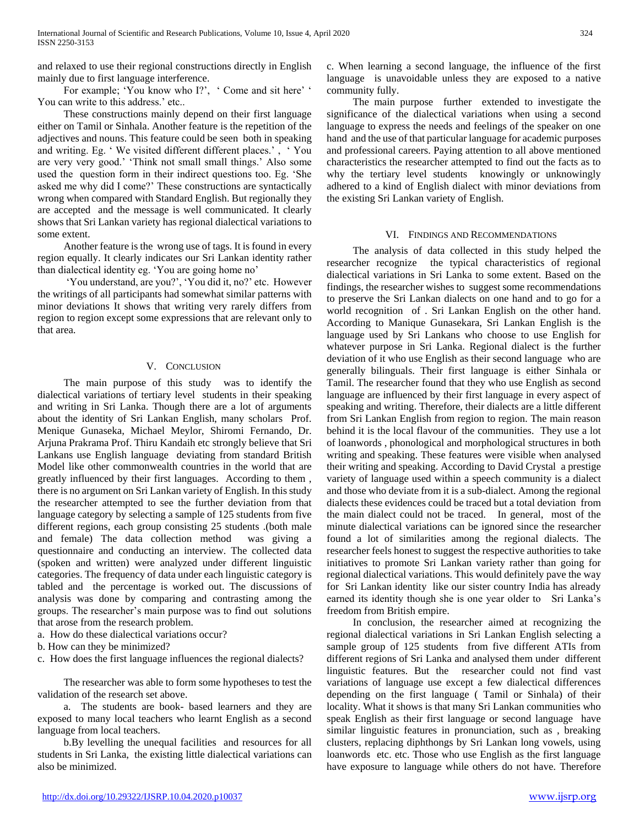and relaxed to use their regional constructions directly in English mainly due to first language interference.

For example; 'You know who I?', ' Come and sit here' ' You can write to this address.' etc..

 These constructions mainly depend on their first language either on Tamil or Sinhala. Another feature is the repetition of the adjectives and nouns. This feature could be seen both in speaking and writing. Eg. ' We visited different different places.' , ' You are very very good.' 'Think not small small things.' Also some used the question form in their indirect questions too. Eg. 'She asked me why did I come?' These constructions are syntactically wrong when compared with Standard English. But regionally they are accepted and the message is well communicated. It clearly shows that Sri Lankan variety has regional dialectical variations to some extent.

 Another feature is the wrong use of tags. It is found in every region equally. It clearly indicates our Sri Lankan identity rather than dialectical identity eg. 'You are going home no'

 'You understand, are you?', 'You did it, no?' etc. However the writings of all participants had somewhat similar patterns with minor deviations It shows that writing very rarely differs from region to region except some expressions that are relevant only to that area.

## V. CONCLUSION

 The main purpose of this study was to identify the dialectical variations of tertiary level students in their speaking and writing in Sri Lanka. Though there are a lot of arguments about the identity of Sri Lankan English, many scholars Prof. Menique Gunaseka, Michael Meylor, Shiromi Fernando, Dr. Arjuna Prakrama Prof. Thiru Kandaih etc strongly believe that Sri Lankans use English language deviating from standard British Model like other commonwealth countries in the world that are greatly influenced by their first languages. According to them , there is no argument on Sri Lankan variety of English. In this study the researcher attempted to see the further deviation from that language category by selecting a sample of 125 students from five different regions, each group consisting 25 students .(both male and female) The data collection method was giving a questionnaire and conducting an interview. The collected data (spoken and written) were analyzed under different linguistic categories. The frequency of data under each linguistic category is tabled and the percentage is worked out. The discussions of analysis was done by comparing and contrasting among the groups. The researcher's main purpose was to find out solutions that arose from the research problem.

a. How do these dialectical variations occur?

b. How can they be minimized?

c. How does the first language influences the regional dialects?

 The researcher was able to form some hypotheses to test the validation of the research set above.

 a. The students are book- based learners and they are exposed to many local teachers who learnt English as a second language from local teachers.

 b.By levelling the unequal facilities and resources for all students in Sri Lanka, the existing little dialectical variations can also be minimized.

c. When learning a second language, the influence of the first language is unavoidable unless they are exposed to a native community fully.

 The main purpose further extended to investigate the significance of the dialectical variations when using a second language to express the needs and feelings of the speaker on one hand and the use of that particular language for academic purposes and professional careers. Paying attention to all above mentioned characteristics the researcher attempted to find out the facts as to why the tertiary level students knowingly or unknowingly adhered to a kind of English dialect with minor deviations from the existing Sri Lankan variety of English.

## VI. FINDINGS AND RECOMMENDATIONS

 The analysis of data collected in this study helped the researcher recognize the typical characteristics of regional dialectical variations in Sri Lanka to some extent. Based on the findings, the researcher wishes to suggest some recommendations to preserve the Sri Lankan dialects on one hand and to go for a world recognition of . Sri Lankan English on the other hand. According to Manique Gunasekara, Sri Lankan English is the language used by Sri Lankans who choose to use English for whatever purpose in Sri Lanka. Regional dialect is the further deviation of it who use English as their second language who are generally bilinguals. Their first language is either Sinhala or Tamil. The researcher found that they who use English as second language are influenced by their first language in every aspect of speaking and writing. Therefore, their dialects are a little different from Sri Lankan English from region to region. The main reason behind it is the local flavour of the communities. They use a lot of loanwords , phonological and morphological structures in both writing and speaking. These features were visible when analysed their writing and speaking. According to David Crystal a prestige variety of language used within a speech community is a dialect and those who deviate from it is a sub-dialect. Among the regional dialects these evidences could be traced but a total deviation from the main dialect could not be traced. In general, most of the minute dialectical variations can be ignored since the researcher found a lot of similarities among the regional dialects. The researcher feels honest to suggest the respective authorities to take initiatives to promote Sri Lankan variety rather than going for regional dialectical variations. This would definitely pave the way for Sri Lankan identity like our sister country India has already earned its identity though she is one year older to Sri Lanka's freedom from British empire.

 In conclusion, the researcher aimed at recognizing the regional dialectical variations in Sri Lankan English selecting a sample group of 125 students from five different ATIs from different regions of Sri Lanka and analysed them under different linguistic features. But the researcher could not find vast variations of language use except a few dialectical differences depending on the first language ( Tamil or Sinhala) of their locality. What it shows is that many Sri Lankan communities who speak English as their first language or second language have similar linguistic features in pronunciation, such as , breaking clusters, replacing diphthongs by Sri Lankan long vowels, using loanwords etc. etc. Those who use English as the first language have exposure to language while others do not have. Therefore